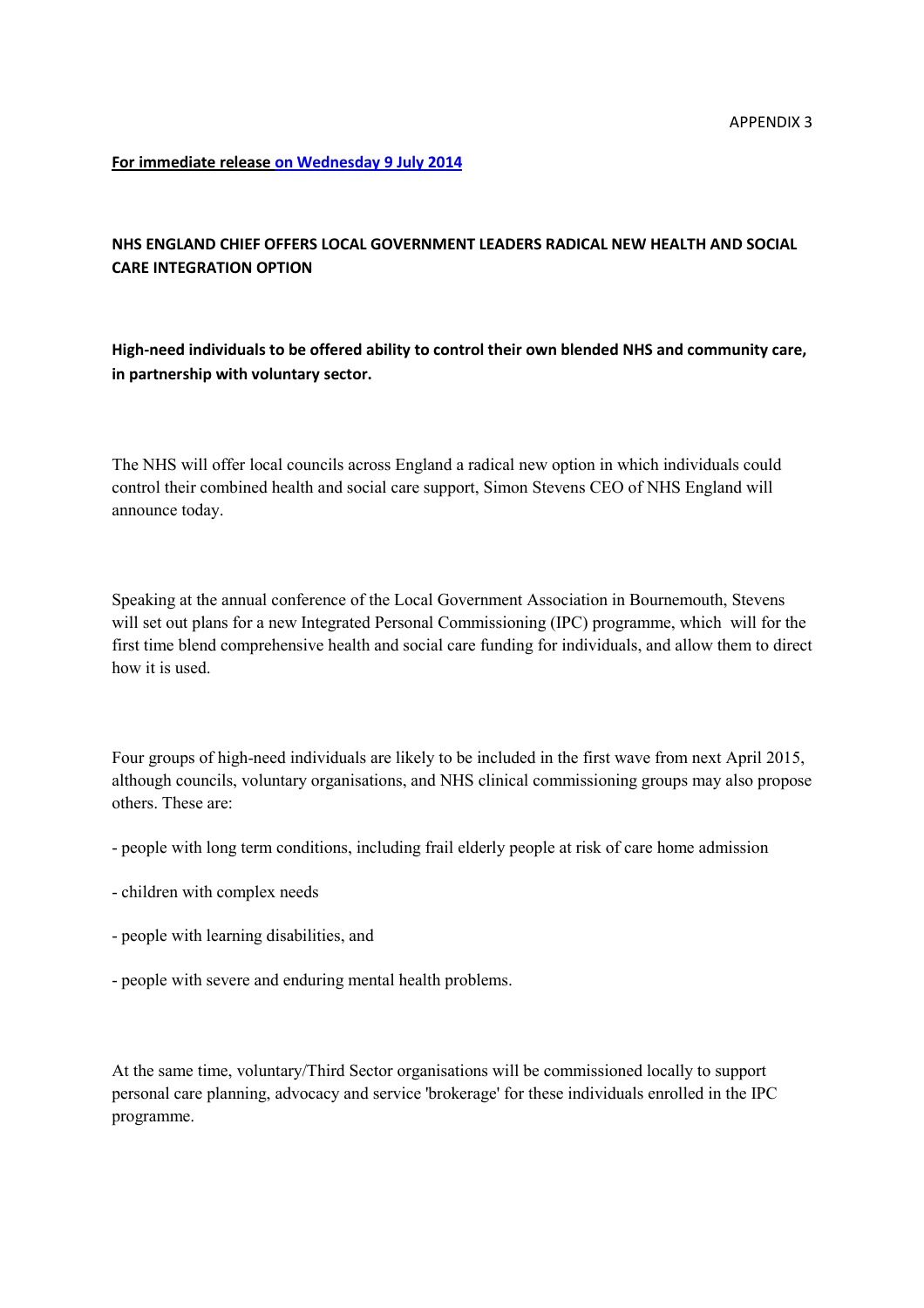**For immediate release on Wednesday 9 July 2014**

## **NHS ENGLAND CHIEF OFFERS LOCAL GOVERNMENT LEADERS RADICAL NEW HEALTH AND SOCIAL CARE INTEGRATION OPTION**

**High-need individuals to be offered ability to control their own blended NHS and community care, in partnership with voluntary sector.**

The NHS will offer local councils across England a radical new option in which individuals could control their combined health and social care support, Simon Stevens CEO of NHS England will announce today.

Speaking at the annual conference of the Local Government Association in Bournemouth, Stevens will set out plans for a new Integrated Personal Commissioning (IPC) programme, which will for the first time blend comprehensive health and social care funding for individuals, and allow them to direct how it is used.

Four groups of high-need individuals are likely to be included in the first wave from next April 2015, although councils, voluntary organisations, and NHS clinical commissioning groups may also propose others. These are:

- people with long term conditions, including frail elderly people at risk of care home admission
- children with complex needs
- people with learning disabilities, and
- people with severe and enduring mental health problems.

At the same time, voluntary/Third Sector organisations will be commissioned locally to support personal care planning, advocacy and service 'brokerage' for these individuals enrolled in the IPC programme.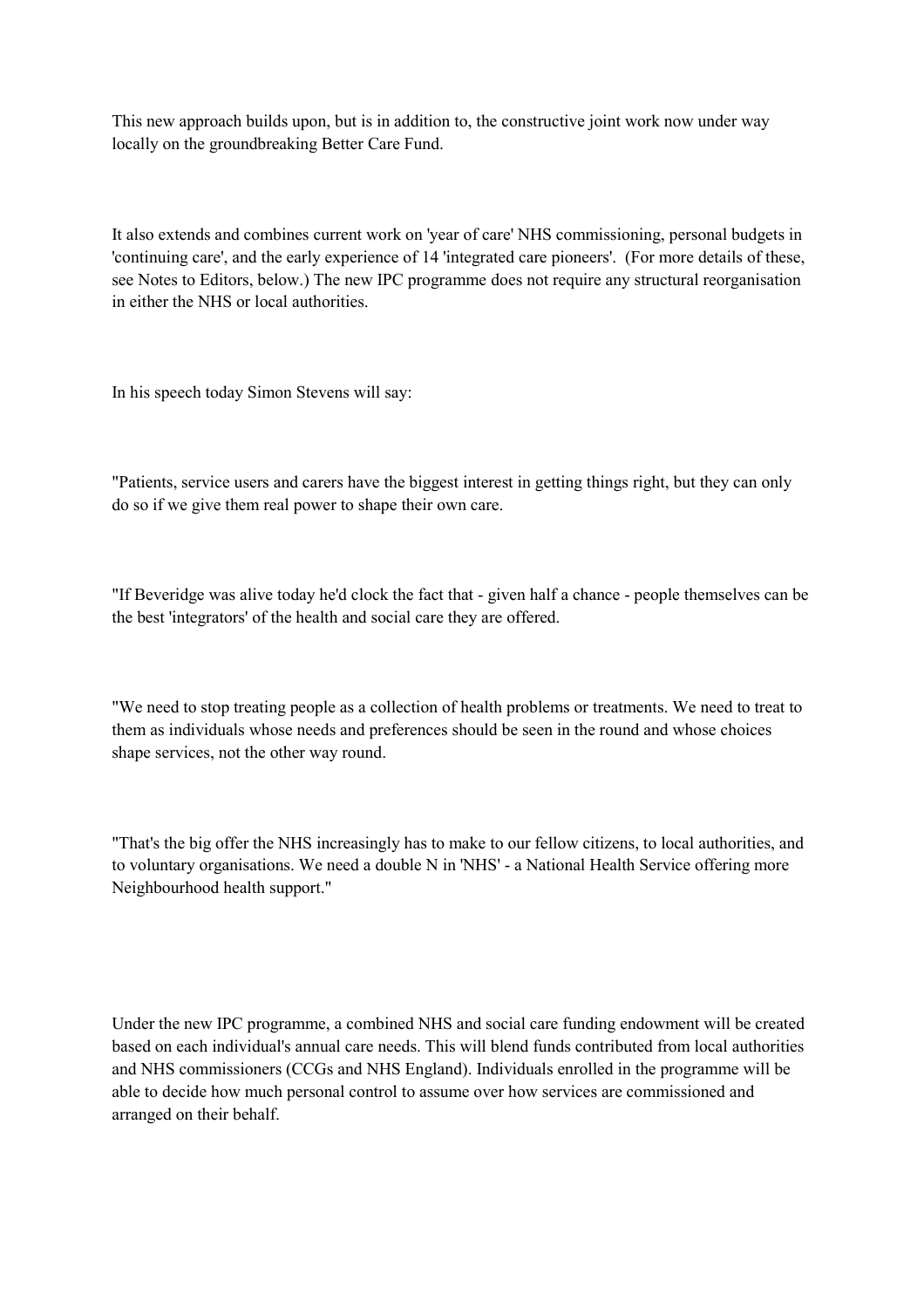This new approach builds upon, but is in addition to, the constructive joint work now under way locally on the groundbreaking Better Care Fund.

It also extends and combines current work on 'year of care' NHS commissioning, personal budgets in 'continuing care', and the early experience of 14 'integrated care pioneers'. (For more details of these, see Notes to Editors, below.) The new IPC programme does not require any structural reorganisation in either the NHS or local authorities.

In his speech today Simon Stevens will say:

"Patients, service users and carers have the biggest interest in getting things right, but they can only do so if we give them real power to shape their own care.

"If Beveridge was alive today he'd clock the fact that - given half a chance - people themselves can be the best 'integrators' of the health and social care they are offered.

"We need to stop treating people as a collection of health problems or treatments. We need to treat to them as individuals whose needs and preferences should be seen in the round and whose choices shape services, not the other way round.

"That's the big offer the NHS increasingly has to make to our fellow citizens, to local authorities, and to voluntary organisations. We need a double N in 'NHS' - a National Health Service offering more Neighbourhood health support."

Under the new IPC programme, a combined NHS and social care funding endowment will be created based on each individual's annual care needs. This will blend funds contributed from local authorities and NHS commissioners (CCGs and NHS England). Individuals enrolled in the programme will be able to decide how much personal control to assume over how services are commissioned and arranged on their behalf.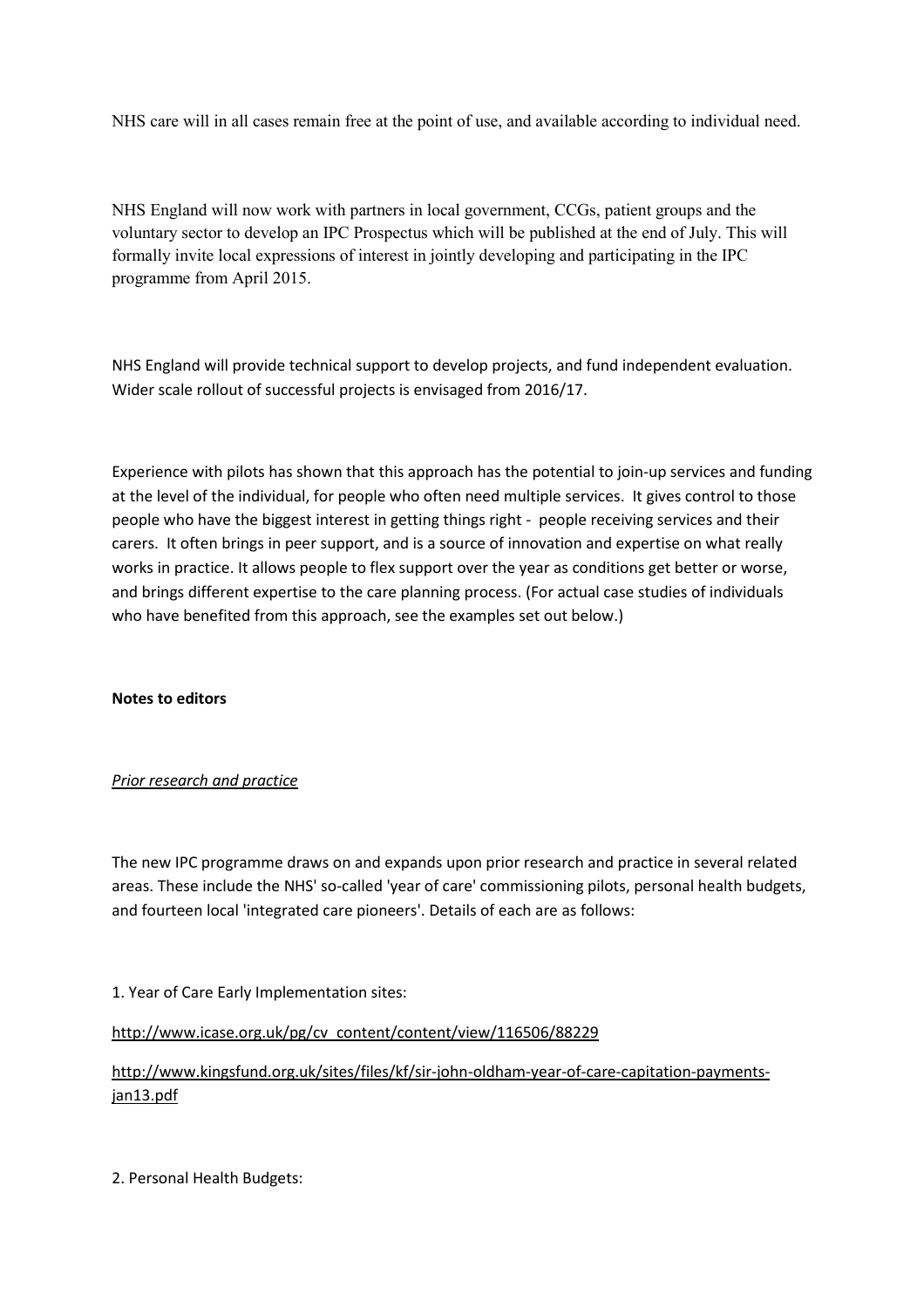NHS care will in all cases remain free at the point of use, and available according to individual need.

NHS England will now work with partners in local government, CCGs, patient groups and the voluntary sector to develop an IPC Prospectus which will be published at the end of July. This will formally invite local expressions of interest in jointly developing and participating in the IPC programme from April 2015.

NHS England will provide technical support to develop projects, and fund independent evaluation. Wider scale rollout of successful projects is envisaged from 2016/17.

Experience with pilots has shown that this approach has the potential to join-up services and funding at the level of the individual, for people who often need multiple services. It gives control to those people who have the biggest interest in getting things right - people receiving services and their carers. It often brings in peer support, and is a source of innovation and expertise on what really works in practice. It allows people to flex support over the year as conditions get better or worse, and brings different expertise to the care planning process. (For actual case studies of individuals who have benefited from this approach, see the examples set out below.)

### **Notes to editors**

### *Prior research and practice*

The new IPC programme draws on and expands upon prior research and practice in several related areas. These include the NHS' so-called 'year of care' commissioning pilots, personal health budgets, and fourteen local 'integrated care pioneers'. Details of each are as follows:

### 1. Year of Care Early Implementation sites:

http://www.icase.org.uk/pg/cv\_content/content/view/116506/88229

# http://www.kingsfund.org.uk/sites/files/kf/sir-john-oldham-year-of-care-capitation-paymentsjan13.pdf

2. Personal Health Budgets: